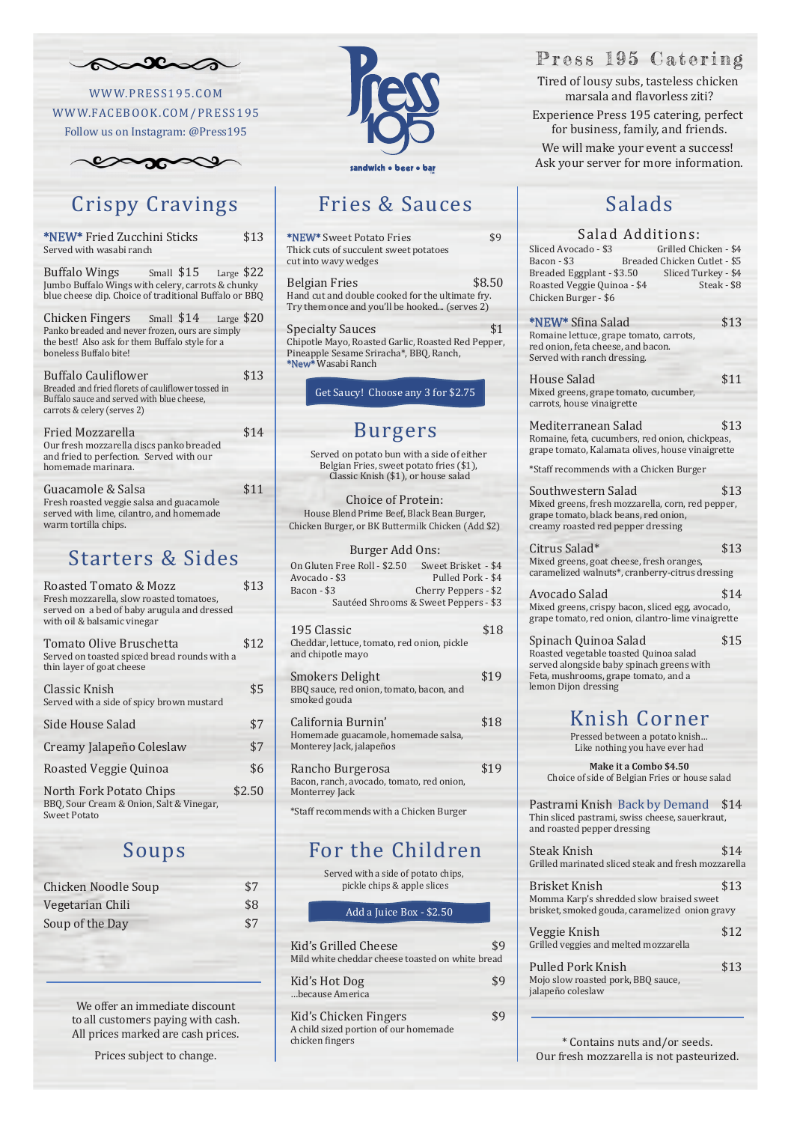Tired of lousy subs, tasteless chicken marsala and flavorless ziti? Experience Press 195 catering, perfect for business, family, and friends.

We will make your event a success! Ask your server for more information.

#### Fries & Sauces

# Crispy Cravings

#### Starters & Sides

#### Salads

## Salad Additions:<br>cado - \$3 Grilled Chicken - \$4

## Knish Corner





\* Contains nuts and/or seeds. Our fresh mozzarella is not pasteurized.

#### For the Children

#### Press 195 Catering

Add a Juice Box - \$2.50



W WW.PRESS195.COM W WW.FACEBOOK.COM/PRESS195

Follow us on Instagram: @Press195



Chicken Noodle Soup \$7 Vegetarian Chili  $$8$ Soup of the Day \$7

| *NEW* Fried Zucchini Sticks<br>Served with wasabi ranch                                                                                                               | \$13 |
|-----------------------------------------------------------------------------------------------------------------------------------------------------------------------|------|
| Buffalo Wings Small \$15 Large \$22<br>Jumbo Buffalo Wings with celery, carrots & chunky<br>blue cheese dip. Choice of traditional Buffalo or BBQ                     |      |
| Chicken Fingers Small \$14 Large \$20<br>Panko breaded and never frozen, ours are simply<br>the best! Also ask for them Buffalo style for a<br>boneless Buffalo bite! |      |
| Buffalo Cauliflower<br>Breaded and fried florets of cauliflower tossed in<br>Buffalo sauce and served with blue cheese,<br>carrots & celery (serves 2)                | \$13 |
| Fried Mozzarella<br>Our fresh mozzarella discs panko breaded<br>and fried to perfection. Served with our<br>homemade marinara.                                        | \$14 |
| Guacamole & Salsa<br>Fresh roasted veggie salsa and guacamole<br>served with lime, cilantro, and homemade                                                             | \$11 |

Get Saucy! Choose any 3 for \$2.75 Burgers \*NEW\* Sweet Potato Fries \$9 Thick cuts of succulent sweet potatoes cut into wavy wedges Belgian Fries \$8.50 Hand cut and double cooked for the ultimate fry. Try them once and you'll be hooked... (serves 2) Specialty Sauces \$1 Chipotle Mayo, Roasted Garlic, Roasted Red Pepper, Pineapple Sesame Sriracha\*, BBQ, Ranch, \*New\* Wasabi Ranch

warm tortilla chips.

Kid's Grilled Cheese \$9 Mild white cheddar cheese toasted on white bread

| Roasted Tomato & Mozz<br>Fresh mozzarella, slow roasted tomatoes,<br>served on a bed of baby arugula and dressed<br>with oil & balsamic vinegar | \$13   |
|-------------------------------------------------------------------------------------------------------------------------------------------------|--------|
| Tomato Olive Bruschetta<br>Served on toasted spiced bread rounds with a<br>thin layer of goat cheese                                            | \$12   |
| Classic Knish<br>Served with a side of spicy brown mustard                                                                                      | \$5    |
| Side House Salad                                                                                                                                | \$7    |
| Creamy Jalapeño Coleslaw                                                                                                                        | \$7    |
| Roasted Veggie Quinoa                                                                                                                           | \$6    |
| North Fork Potato Chips<br>BBQ, Sour Cream & Onion, Salt & Vinegar,<br><b>Sweet Potato</b>                                                      | \$2.50 |

Kid's Hot Dog \$9 …because America

Kid's Chicken Fingers  $$9$ A child sized portion of our homemade chicken fingers

House Salad \$11 Mixed greens, grape tomato, cucumber, carrots, house vinaigrette

Mediterranean Salad 513 Romaine, feta, cucumbers, red onion, chickpeas, grape tomato, Kalamata olives, house vinaigrette

Southwestern Salad \$13 Mixed greens, fresh mozzarella, corn, red pepper, grape tomato, black beans, red onion, creamy roasted red pepper dressing

Citrus Salad\*  $$13$ Mixed greens, goat cheese, fresh oranges, caramelized walnuts\*, cranberry-citrus dressing

Avocado Salad \$14 Mixed greens, crispy bacon, sliced egg, avocado, grape tomato, red onion, cilantro-lime vinaigrette

Sliced Avocado - \$3<br>Bacon - \$3 Breaded Chicken Cutlet - \$5<br>3.50 Sliced Turkey - \$4 Breaded Eggplant - \$3.50 Sliced Turkey - \$4<br>Roasted Veggie Quinoa - \$4 Steak - \$8 Roasted Veggie Quinoa - \$4 Chicken Burger - \$6

Served on potato bun with a side of either Belgian Fries, sweet potato fries (\$1), Classic Knish (\$1), or house salad

> Veggie Knish  $$12$ Grilled veggies and melted mozzarella

Pulled Pork Knish \$13 Mojo slow roasted pork, BBQ sauce, jalapeño coleslaw

Choice of Protein: House Blend Prime Beef, Black Bean Burger, Chicken Burger, or BK Buttermilk Chicken (Add \$2)

#### Burger Add Ons:

| 195 Classic<br>Cheddar, lettuce, tomato, red onion, pickle<br>and chipotle mayo       | 18   |
|---------------------------------------------------------------------------------------|------|
| <b>Smokers Delight</b><br>BBQ sauce, red onion, tomato, bacon, and<br>smoked gouda    | \$19 |
| California Burnin'<br>Homemade guacamole, homemade salsa,<br>Monterey Jack, jalapeños | \$18 |
| Rancho Burgerosa<br>Bacon, ranch, avocado, tomato, red onion,<br>Monterrey Jack       | \$19 |

\*Staff recommends with a Chicken Burger

| On Gluten Free Roll - \$2.50 | Sweet Brisket - \$4                   |
|------------------------------|---------------------------------------|
| Avocado - \$3                | Pulled Pork - \$4                     |
| Bacon - \$3                  | Cherry Peppers - \$2                  |
|                              | Sautéed Shrooms & Sweet Peppers - \$3 |
|                              |                                       |

Served with a side of potato chips, pickle chips & apple slices

\*NEW\* S�ina Salad \$13 Romaine lettuce, grape tomato, carrots, red onion, feta cheese, and bacon. Served with ranch dressing.

\*Staff recommends with a Chicken Burger

Spinach Quinoa Salad \$15 Roasted vegetable toasted Quinoa salad served alongside baby spinach greens with Feta, mushrooms, grape tomato, and a lemon Dijon dressing

Pastrami Knish Back by Demand \$14 Thin sliced pastrami, swiss cheese, sauerkraut, and roasted pepper dressing

Steak Knish 514

Grilled marinated sliced steak and fresh mozzarella

Brisket Knish \$13 Momma Karp's shredded slow braised sweet brisket, smoked gouda, caramelized onion gravy

Pressed between a potato knish… Like nothing you have ever had

**Make it a Combo \$4.50** Choice of side of Belgian Fries or house salad

We offer an immediate discount to all customers paying with cash. All prices marked are cash prices.

Prices subject to change.